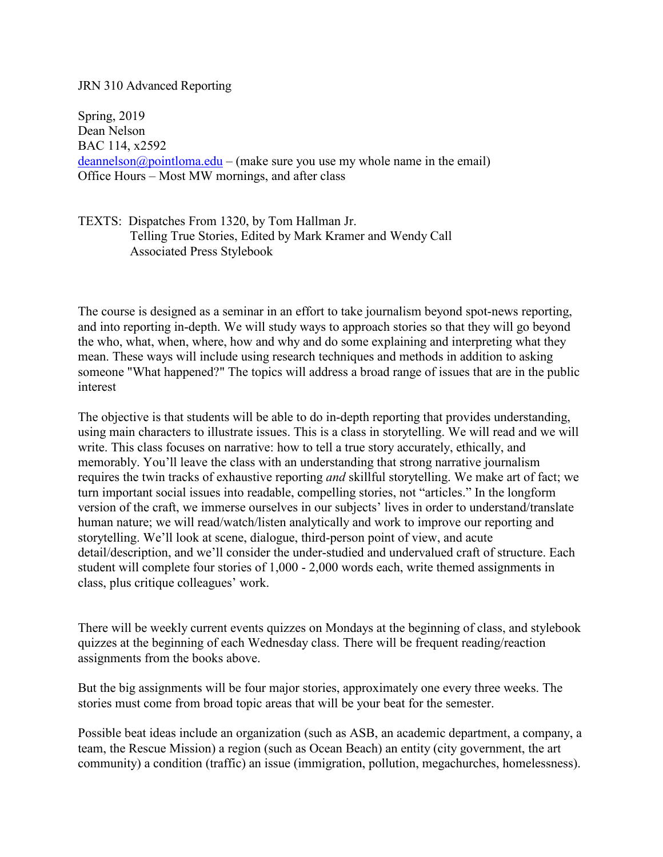## JRN 310 Advanced Reporting

Spring, 2019 Dean Nelson BAC 114, x2592  $deannelson@pointloma.edu - (make sure you use my whole name in the email)$  $deannelson@pointloma.edu - (make sure you use my whole name in the email)$ Office Hours – Most MW mornings, and after class

TEXTS: Dispatches From 1320, by Tom Hallman Jr. Telling True Stories, Edited by Mark Kramer and Wendy Call Associated Press Stylebook

The course is designed as a seminar in an effort to take journalism beyond spot-news reporting, and into reporting in-depth. We will study ways to approach stories so that they will go beyond the who, what, when, where, how and why and do some explaining and interpreting what they mean. These ways will include using research techniques and methods in addition to asking someone "What happened?" The topics will address a broad range of issues that are in the public interest

The objective is that students will be able to do in-depth reporting that provides understanding, using main characters to illustrate issues. This is a class in storytelling. We will read and we will write. This class focuses on narrative: how to tell a true story accurately, ethically, and memorably. You'll leave the class with an understanding that strong narrative journalism requires the twin tracks of exhaustive reporting *and* skillful storytelling. We make art of fact; we turn important social issues into readable, compelling stories, not "articles." In the longform version of the craft, we immerse ourselves in our subjects' lives in order to understand/translate human nature; we will read/watch/listen analytically and work to improve our reporting and storytelling. We'll look at scene, dialogue, third-person point of view, and acute detail/description, and we'll consider the under-studied and undervalued craft of structure. Each student will complete four stories of 1,000 - 2,000 words each, write themed assignments in class, plus critique colleagues' work.

There will be weekly current events quizzes on Mondays at the beginning of class, and stylebook quizzes at the beginning of each Wednesday class. There will be frequent reading/reaction assignments from the books above.

But the big assignments will be four major stories, approximately one every three weeks. The stories must come from broad topic areas that will be your beat for the semester.

Possible beat ideas include an organization (such as ASB, an academic department, a company, a team, the Rescue Mission) a region (such as Ocean Beach) an entity (city government, the art community) a condition (traffic) an issue (immigration, pollution, megachurches, homelessness).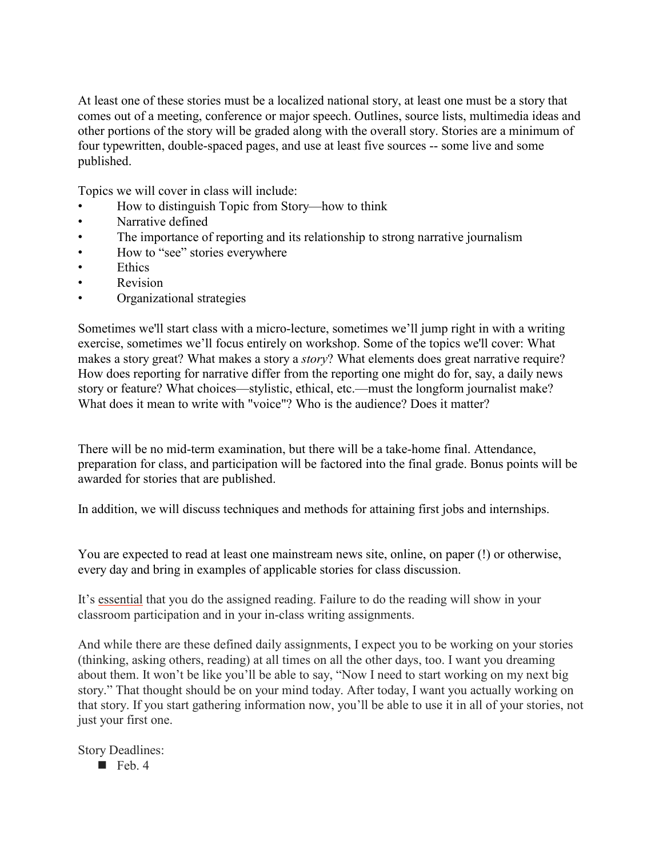At least one of these stories must be a localized national story, at least one must be a story that comes out of a meeting, conference or major speech. Outlines, source lists, multimedia ideas and other portions of the story will be graded along with the overall story. Stories are a minimum of four typewritten, double-spaced pages, and use at least five sources -- some live and some published.

Topics we will cover in class will include:

- How to distinguish Topic from Story—how to think
- Narrative defined
- The importance of reporting and its relationship to strong narrative journalism
- How to "see" stories everywhere
- Ethics
- Revision
- Organizational strategies

Sometimes we'll start class with a micro-lecture, sometimes we'll jump right in with a writing exercise, sometimes we'll focus entirely on workshop. Some of the topics we'll cover: What makes a story great? What makes a story a *story*? What elements does great narrative require? How does reporting for narrative differ from the reporting one might do for, say, a daily news story or feature? What choices—stylistic, ethical, etc.—must the longform journalist make? What does it mean to write with "voice"? Who is the audience? Does it matter?

There will be no mid-term examination, but there will be a take-home final. Attendance, preparation for class, and participation will be factored into the final grade. Bonus points will be awarded for stories that are published.

In addition, we will discuss techniques and methods for attaining first jobs and internships.

You are expected to read at least one mainstream news site, online, on paper (!) or otherwise, every day and bring in examples of applicable stories for class discussion.

It's essential that you do the assigned reading. Failure to do the reading will show in your classroom participation and in your in-class writing assignments.

And while there are these defined daily assignments, I expect you to be working on your stories (thinking, asking others, reading) at all times on all the other days, too. I want you dreaming about them. It won't be like you'll be able to say, "Now I need to start working on my next big story." That thought should be on your mind today. After today, I want you actually working on that story. If you start gathering information now, you'll be able to use it in all of your stories, not just your first one.

Story Deadlines:

 $\blacksquare$  Feb. 4